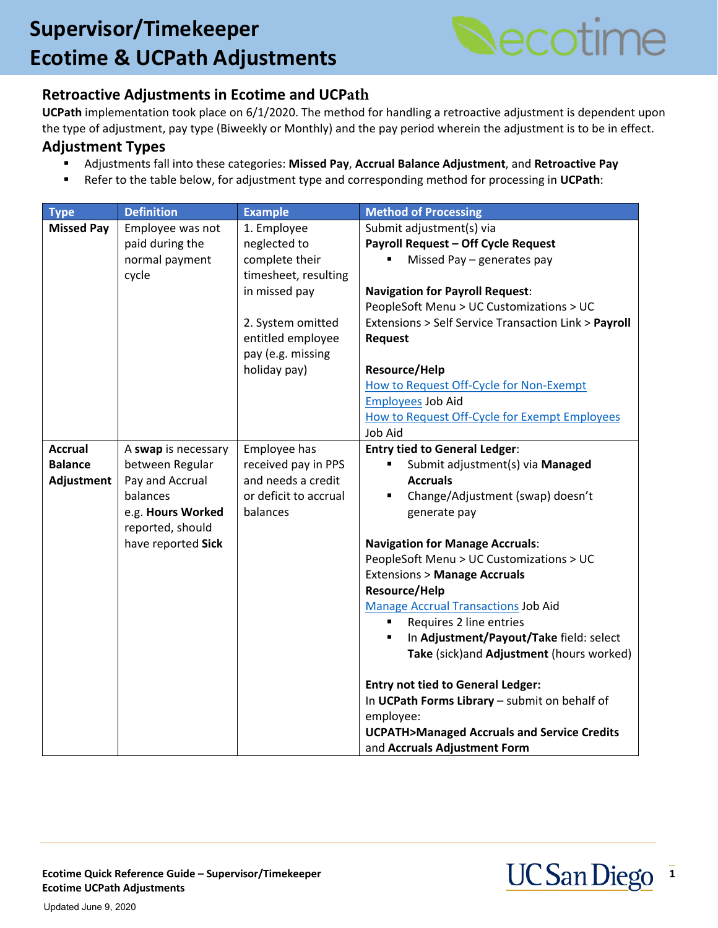# **Create a Position Create a Position Create a Position Create a Position Create a Position Create a Position Create a Position Create a Position Create a Position Create a Position Create a Position Create a Position Creat Ecotime & UCPath Adjustments**



### **Retroactive Adjustments in Ecotime and UCPath**

**UCPath** implementation took place on 6/1/2020. The method for handling a retroactive adjustment is dependent upon the type of adjustment, pay type (Biweekly or Monthly) and the pay period wherein the adjustment is to be in effect.

#### **Adjustment Types**

- Adjustments fall into these categories: **Missed Pay**, **Accrual Balance Adjustment**, and **Retroactive Pay**
- Refer to the table below, for adjustment type and corresponding method for processing in **UCPath**:

| <b>Type</b>       | <b>Definition</b>   | <b>Example</b>        | <b>Method of Processing</b>                           |
|-------------------|---------------------|-----------------------|-------------------------------------------------------|
| <b>Missed Pay</b> | Employee was not    | 1. Employee           | Submit adjustment(s) via                              |
|                   | paid during the     | neglected to          | Payroll Request - Off Cycle Request                   |
|                   | normal payment      | complete their        | Missed Pay - generates pay                            |
|                   | cycle               | timesheet, resulting  |                                                       |
|                   |                     | in missed pay         | <b>Navigation for Payroll Request:</b>                |
|                   |                     |                       | PeopleSoft Menu > UC Customizations > UC              |
|                   |                     | 2. System omitted     | Extensions > Self Service Transaction Link > Payroll  |
|                   |                     | entitled employee     | <b>Request</b>                                        |
|                   |                     | pay (e.g. missing     |                                                       |
|                   |                     | holiday pay)          | Resource/Help                                         |
|                   |                     |                       | How to Request Off-Cycle for Non-Exempt               |
|                   |                     |                       | <b>Employees Job Aid</b>                              |
|                   |                     |                       | How to Request Off-Cycle for Exempt Employees         |
|                   |                     |                       | Job Aid                                               |
| <b>Accrual</b>    | A swap is necessary | Employee has          | <b>Entry tied to General Ledger:</b>                  |
| <b>Balance</b>    | between Regular     | received pay in PPS   | Submit adjustment(s) via Managed                      |
| Adjustment        | Pay and Accrual     | and needs a credit    | <b>Accruals</b>                                       |
|                   | balances            | or deficit to accrual | Change/Adjustment (swap) doesn't                      |
|                   | e.g. Hours Worked   | balances              | generate pay                                          |
|                   | reported, should    |                       |                                                       |
|                   | have reported Sick  |                       | <b>Navigation for Manage Accruals:</b>                |
|                   |                     |                       | PeopleSoft Menu > UC Customizations > UC              |
|                   |                     |                       | <b>Extensions &gt; Manage Accruals</b>                |
|                   |                     |                       | <b>Resource/Help</b>                                  |
|                   |                     |                       | <b>Manage Accrual Transactions Job Aid</b>            |
|                   |                     |                       | Requires 2 line entries<br>٠                          |
|                   |                     |                       | In Adjustment/Payout/Take field: select               |
|                   |                     |                       | Take (sick) and Adjustment (hours worked)             |
|                   |                     |                       | <b>Entry not tied to General Ledger:</b>              |
|                   |                     |                       | In UCPath Forms Library - submit on behalf of         |
|                   |                     |                       | employee:                                             |
|                   |                     |                       | <b>UCPATH&gt;Managed Accruals and Service Credits</b> |
|                   |                     |                       | and Accruals Adjustment Form                          |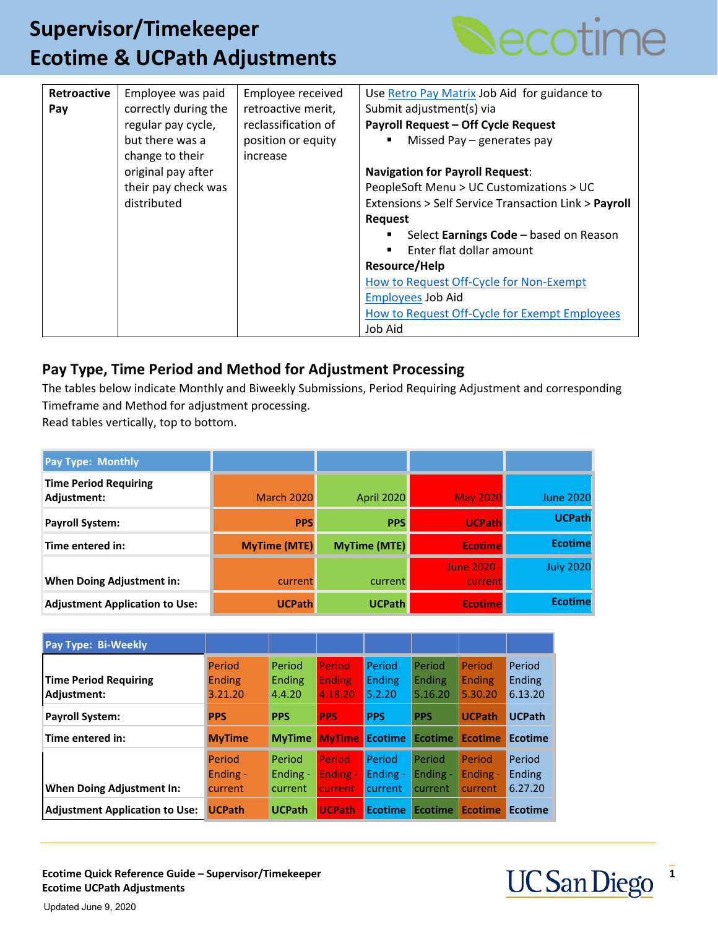## **Create a Position Create a Position Create a Position Create a Position Create a Position Create a Position Create a Position Create a Position Create a Position Create a Position Create a Position Create a Position Creat Ecotime & UCPath Adjustments**



| Retroactive | Employee was paid    | Employee received   | Use Retro Pay Matrix Job Aid for guidance to         |
|-------------|----------------------|---------------------|------------------------------------------------------|
| Pay         | correctly during the | retroactive merit,  | Submit adjustment(s) via                             |
|             | regular pay cycle,   | reclassification of | <b>Payroll Request - Off Cycle Request</b>           |
|             | but there was a      | position or equity  | Missed Pay - generates pay                           |
|             | change to their      | increase            |                                                      |
|             | original pay after   |                     | <b>Navigation for Payroll Request:</b>               |
|             | their pay check was  |                     | PeopleSoft Menu > UC Customizations > UC             |
|             | distributed          |                     | Extensions > Self Service Transaction Link > Payroll |
|             |                      |                     | Request                                              |
|             |                      |                     | Select Earnings Code - based on Reason               |
|             |                      |                     | Enter flat dollar amount                             |
|             |                      |                     | Resource/Help                                        |
|             |                      |                     | How to Request Off-Cycle for Non-Exempt              |
|             |                      |                     | <b>Employees Job Aid</b>                             |
|             |                      |                     | How to Request Off-Cycle for Exempt Employees        |
|             |                      |                     | Job Aid                                              |

### **Pay Type, Time Period and Method for Adjustment Processing**

The tables below indicate Monthly and Biweekly Submissions, Period Requiring Adjustment and corresponding Timeframe and Method for adjustment processing.

Read tables vertically, top to bottom.

| Pay Type: Monthly                           |                     |                   |                             |                  |
|---------------------------------------------|---------------------|-------------------|-----------------------------|------------------|
| <b>Time Period Requiring</b><br>Adjustment: | <b>March 2020</b>   | <b>April 2020</b> | <b>May 2020</b>             | <b>June 2020</b> |
| Payroll System:                             | <b>PPS</b>          | <b>PPS</b>        | <b>UCPath</b>               | <b>UCPath</b>    |
| Time entered in:                            | <b>MyTime (MTE)</b> | MyTime (MTE)      | <b>Ecotime</b>              | <b>Ecotime</b>   |
| <b>When Doing Adjustment in:</b>            | current             | current           | <b>June 2020</b><br>current | <b>July 2020</b> |
| <b>Adjustment Application to Use:</b>       | <b>UCPath</b>       | <b>UCPath</b>     | <b>Ecotime</b>              | <b>Ecotime</b>   |

| Pay Type: Bi-Weekly                         |                                    |                               |                                      |                                   |                                 |                                    |                                    |
|---------------------------------------------|------------------------------------|-------------------------------|--------------------------------------|-----------------------------------|---------------------------------|------------------------------------|------------------------------------|
| <b>Time Period Requiring</b><br>Adjustment: | Period<br><b>Ending</b><br>3.21.20 | Period<br>Ending<br>4.4.20    | Period<br><b>Ending</b><br>4.18.20   | Period<br><b>Ending</b><br>5.2.20 | Period<br>Ending<br>5.16.20     | Period<br><b>Ending</b><br>5.30.20 | Period<br><b>Ending</b><br>6.13.20 |
| <b>Payroll System:</b>                      | <b>PPS</b>                         | <b>PPS</b>                    | <b>PPS</b>                           | <b>PPS</b>                        | <b>PPS</b>                      | <b>UCPath</b>                      | <b>UCPath</b>                      |
| Time entered in:                            | <b>MyTime</b>                      | <b>MyTime</b>                 | <b>MyTime</b> Ecotime                |                                   | Ecotime                         | <b>Ecotime</b>                     | <b>Ecotime</b>                     |
| <b>When Doing Adjustment In:</b>            | Period<br>Ending -<br>current      | Period<br>Ending -<br>current | Period<br>Ending -<br><b>current</b> | Period<br>Ending -<br>current     | Period<br>Ending $-$<br>current | Period<br>Ending -<br>current      | Period<br><b>Ending</b><br>6.27.20 |
|                                             |                                    |                               |                                      |                                   |                                 |                                    |                                    |